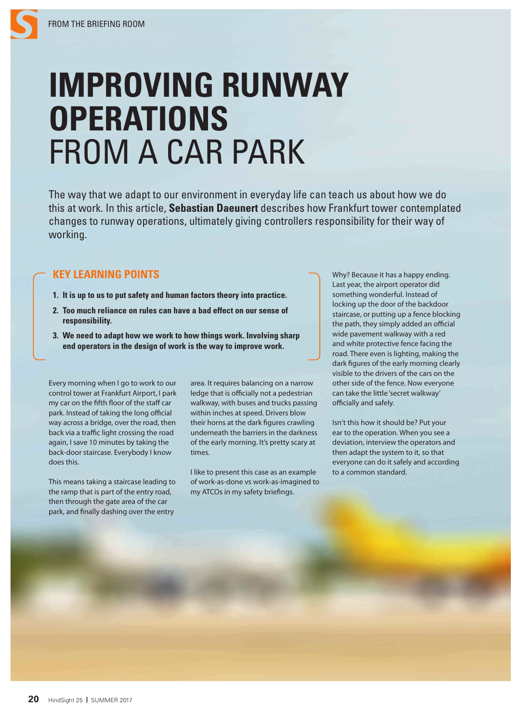## **IMPROVING RUNWAY OPERATIONS** FROM A CAR PARK

The way that we adapt to our environment in everyday life can teach us about how we do this at work. In this article, **Sebastian Daeunert** describes how Frankfurt tower contemplated changes to runway operations, ultimately giving controllers responsibility for their way of working.

## **KEY LEARNING POINTS**

- **1. It is up to us to put safety and human factors theory into practice.**
- **2. Too much reliance on rules can have a bad effect on our sense of responsibility.**
- **3. We need to adapt how we work to how things work. Involving sharp end operators in the design of work is the way to improve work.**

Every morning when I go to work to our control tower at Frankfurt Airport, I park my car on the fifth floor of the staff car park. Instead of taking the long official way across a bridge, over the road, then back via a traffic light crossing the road again, I save 10 minutes by taking the back-door staircase. Everybody I know does this.

This means taking a staircase leading to the ramp that is part of the entry road, then through the gate area of the car park, and finally dashing over the entry

area. It requires balancing on a narrow ledge that is officially not a pedestrian walkway, with buses and trucks passing within inches at speed. Drivers blow their horns at the dark figures crawling underneath the barriers in the darkness of the early morning. It's pretty scary at times.

I like to present this case as an example of work-as-done vs work-as-imagined to my ATCOs in my safety briefings.

Why? Because it has a happy ending. Last year, the airport operator did something wonderful. Instead of locking up the door of the backdoor staircase, or putting up a fence blocking the path, they simply added an official wide pavement walkway with a red and white protective fence facing the road. There even is lighting, making the dark figures of the early morning clearly visible to the drivers of the cars on the other side of the fence. Now everyone can take the little 'secret walkway' officially and safely.

Isn't this how it should be? Put your ear to the operation. When you see a deviation, interview the operators and then adapt the system to it, so that everyone can do it safely and according to a common standard.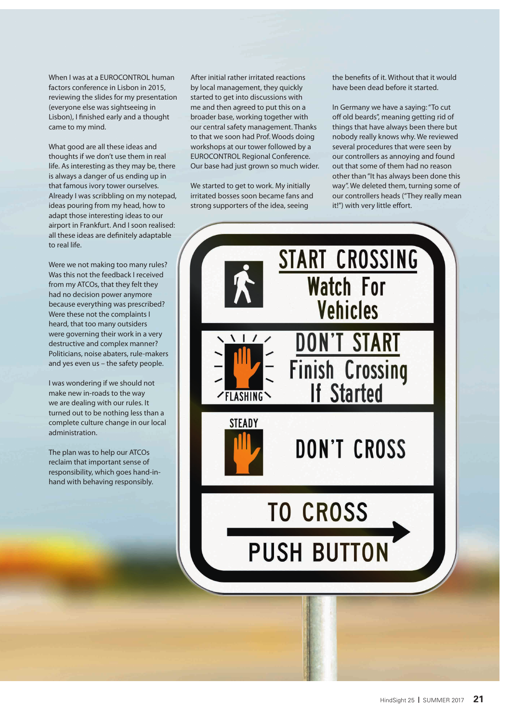When I was at a EUROCONTROL human factors conference in Lisbon in 2015, reviewing the slides for my presentation (everyone else was sightseeing in Lisbon), I finished early and a thought came to my mind.

What good are all these ideas and thoughts if we don't use them in real life. As interesting as they may be, there is always a danger of us ending up in that famous ivory tower ourselves. Already I was scribbling on my notepad, ideas pouring from my head, how to adapt those interesting ideas to our airport in Frankfurt. And I soon realised: all these ideas are definitely adaptable to real life.

Were we not making too many rules? Was this not the feedback I received from my ATCOs, that they felt they had no decision power anymore because everything was prescribed? Were these not the complaints I heard, that too many outsiders were governing their work in a very destructive and complex manner? Politicians, noise abaters, rule-makers and yes even us – the safety people.

I was wondering if we should not make new in-roads to the way we are dealing with our rules. It turned out to be nothing less than a complete culture change in our local administration.

The plan was to help our ATCOs reclaim that important sense of responsibility, which goes hand-inhand with behaving responsibly.

After initial rather irritated reactions by local management, they quickly started to get into discussions with me and then agreed to put this on a broader base, working together with our central safety management. Thanks to that we soon had Prof. Woods doing workshops at our tower followed by a EUROCONTROL Regional Conference. Our base had just grown so much wider.

We started to get to work. My initially irritated bosses soon became fans and strong supporters of the idea, seeing

the benefits of it. Without that it would have been dead before it started.

In Germany we have a saying: "To cut off old beards", meaning getting rid of things that have always been there but nobody really knows why. We reviewed several procedures that were seen by our controllers as annoying and found out that some of them had no reason other than "It has always been done this way". We deleted them, turning some of our controllers heads ("They really mean it!") with very little effort.